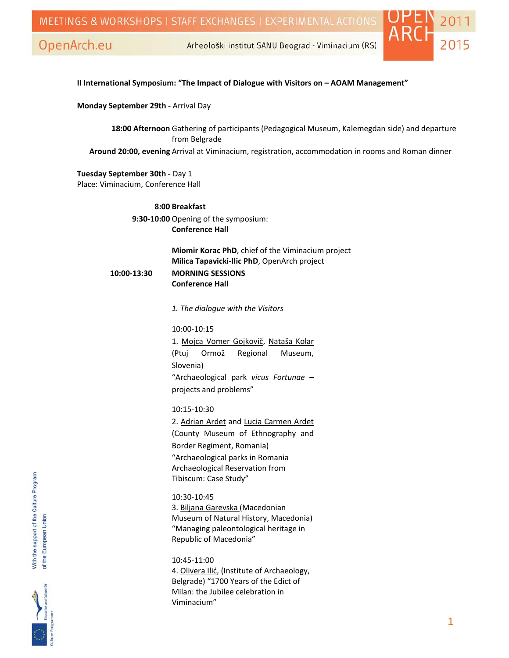

Arheološki institut SANU Beograd - Viminacium (RS)

#### **II International Symposium: "The Impact of Dialogue with Visitors on – AOAM Management"**

**Monday September 29th ‐** Arrival Day

**18:00 Afternoon** Gathering of participants (Pedagogical Museum, Kalemegdan side) and departure from Belgrade

**Around 20:00, evening** Arrival at Viminacium, registration, accommodation in rooms and Roman dinner

**Tuesday September 30th ‐** Day 1 Place: Viminacium, Conference Hall

> **8:00 Breakfast 9:30‐10:00** Opening of the symposium: **Conference Hall**

**Miomir Korac PhD**, chief of the Viminacium project **Milica Tapavicki‐Ilic PhD**, OpenArch project  **10:00‐13:30 MORNING SESSIONS Conference Hall**

*1. The dialogue with the Visitors*

10:00‐10:15 1. Mojca Vomer Gojkovič, Nataša Kolar (Ptuj Ormož Regional Museum, Slovenia) "Archaeological park *vicus Fortunae* – projects and problems"

10:15‐10:30 2. Adrian Ardet and Lucia Carmen Ardet (County Museum of Ethnography and Border Regiment, Romania)

"Archaeological parks in Romania Archaeological Reservation from Tibiscum: Case Study"

10:30‐10:45 3. Biljana Garevska (Macedonian Museum of Natural History, Macedonia) "Managing paleontological heritage in Republic of Macedonia"

10:45‐11:00 4. Olivera Ilić, (Institute of Archaeology, Belgrade) "1700 Years of the Edict of Milan: the Jubilee celebration in Viminacium"

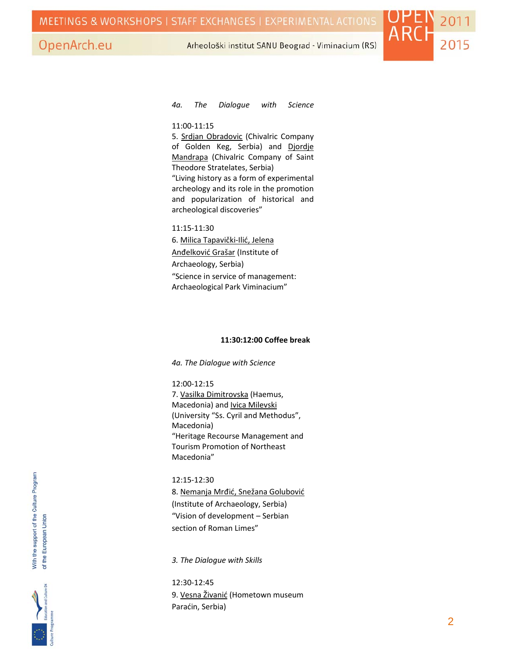

Arheološki institut SANU Beograd - Viminacium (RS)

#### *4a. The Dialogue with Science*

#### 11:00‐11:15

5. Srdjan Obradovic (Chivalric Company of Golden Keg, Serbia) and Djordje Mandrapa (Chivalric Company of Saint Theodore Stratelates, Serbia) "Living history as a form of experimental archeology and its role in the promotion and popularization of historical and archeological discoveries"

11:15‐11:30 6. Milica Tapavički‐Ilić, Jelena Anđelković Grašar (Institute of Archaeology, Serbia) "Science in service of management: Archaeological Park Viminacium"

#### **11:30:12:00 Coffee break**

*4a. The Dialogue with Science*

#### 12:00‐12:15

7. Vasilka Dimitrovska (Haemus, Macedonia) and Ivica Milevski (University "Ss. Cyril and Methodus", Macedonia) "Heritage Recourse Management and Tourism Promotion of Northeast Macedonia"

#### 12:15‐12:30

8. Nemanja Mrđić, Snežana Golubović (Institute of Archaeology, Serbia) "Vision of development – Serbian section of Roman Limes"

*3. The Dialogue with Skills*

12:30‐12:45 9. Vesna Živanić (Hometown museum Paraćin, Serbia)

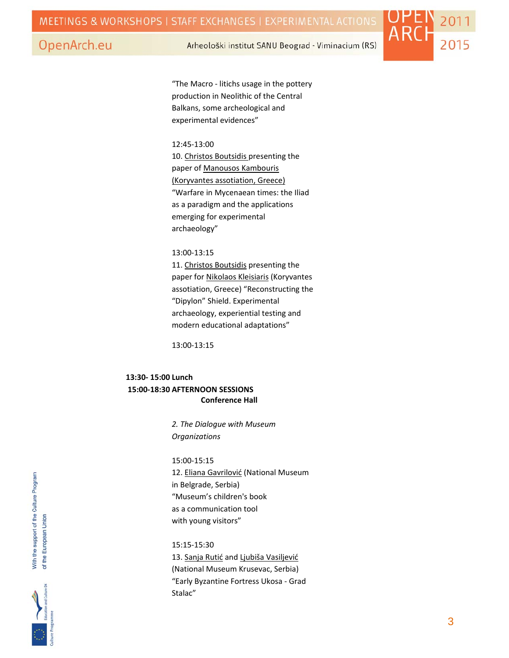Arheološki institut SANU Beograd - Viminacium (RS)



"The Macro ‐ litichs usage in the pottery production in Neolithic of the Central Balkans, some archeological and experimental evidences"

#### 12:45‐13:00

10. Christos Boutsidis presenting the paper of Manousos Kambouris (Koryvantes assotiation, Greece) "Warfare in Mycenaean times: the Iliad as a paradigm and the applications emerging for experimental archaeology"

### 13:00‐13:15

11. Christos Boutsidis presenting the paper for Nikolaos Kleisiaris (Koryvantes assotiation, Greece) "Reconstructing the "Dipylon" Shield. Experimental archaeology, experiential testing and modern educational adaptations"

13:00‐13:15

## **13:30‐ 15:00 Lunch 15:00‐18:30 AFTERNOON SESSIONS Conference Hall**

 *2. The Dialogue with Museum Organizations*

15:00‐15:15 12. Eliana Gavrilović (National Museum in Belgrade, Serbia) "Museum's children's book as a communication tool with young visitors"

15:15‐15:30 13. Sanja Rutić and Ljubiša Vasiljević (National Museum Krusevac, Serbia) "Early Byzantine Fortress Ukosa ‐ Grad Stalac"

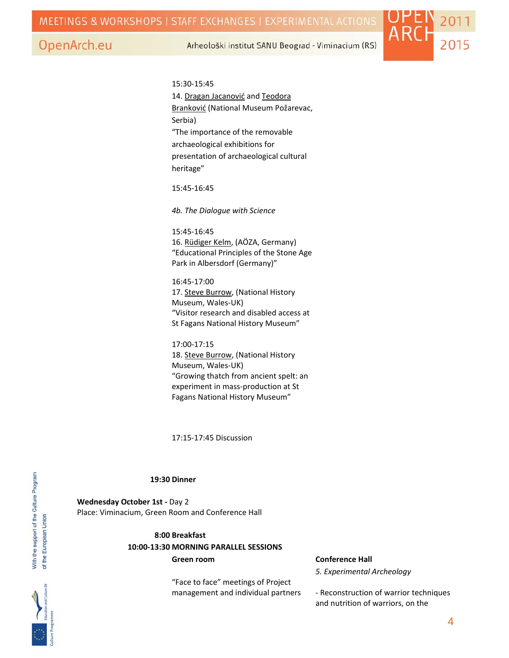Arheološki institut SANU Beograd - Viminacium (RS)



15:30‐15:45 14. Dragan Jacanović and Teodora Branković (National Museum Požarevac, Serbia) "The importance of the removable archaeological exhibitions for presentation of archaeological cultural heritage"

15:45‐16:45

*4b. The Dialogue with Science*

15:45‐16:45 16. Rüdiger Kelm, (AÖZA, Germany) "Educational Principles of the Stone Age Park in Albersdorf (Germany)"

16:45‐17:00 17. Steve Burrow, (National History Museum, Wales‐UK) "Visitor research and disabled access at St Fagans National History Museum"

17:00‐17:15 18. Steve Burrow, (National History Museum, Wales‐UK) "Growing thatch from ancient spelt: an experiment in mass‐production at St Fagans National History Museum"

17:15‐17:45 Discussion

#### **19:30 Dinner**

**Wednesday October 1st ‐** Day 2 Place: Viminacium, Green Room and Conference Hall

> **8:00 Breakfast 10:00‐13:30 MORNING PARALLEL SESSIONS Green room Conference Hall**

> > "Face to face" meetings of Project management and individual partners

*5. Experimental Archeology*

‐ Reconstruction of warrior techniques and nutrition of warriors, on the

With the support of the Culture Program of the European Union